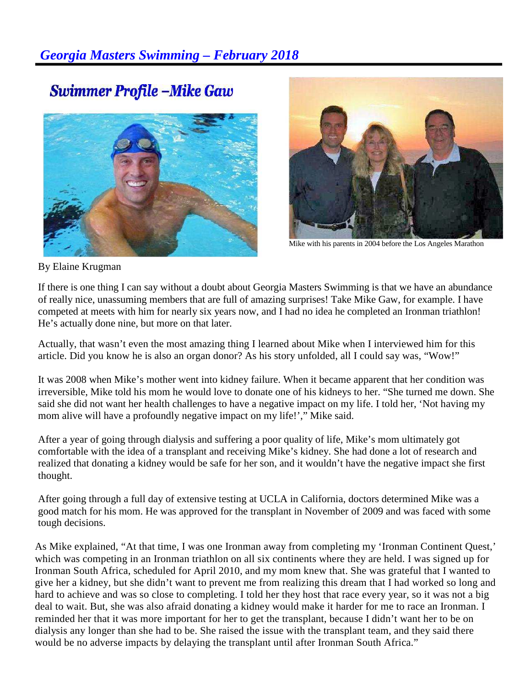## **Swimmer Profile -Mike Gaw**





Mike with his parents in 2004 before the Los Angeles Marathon

By Elaine Krugman

If there is one thing I can say without a doubt about Georgia Masters Swimming is that we have an abundance of really nice, unassuming members that are full of amazing surprises! Take Mike Gaw, for example. I have competed at meets with him for nearly six years now, and I had no idea he completed an Ironman triathlon! He's actually done nine, but more on that later.

Actually, that wasn't even the most amazing thing I learned about Mike when I interviewed him for this article. Did you know he is also an organ donor? As his story unfolded, all I could say was, "Wow!"

It was 2008 when Mike's mother went into kidney failure. When it became apparent that her condition was irreversible, Mike told his mom he would love to donate one of his kidneys to her. "She turned me down. She said she did not want her health challenges to have a negative impact on my life. I told her, 'Not having my mom alive will have a profoundly negative impact on my life!'," Mike said.

After a year of going through dialysis and suffering a poor quality of life, Mike's mom ultimately got comfortable with the idea of a transplant and receiving Mike's kidney. She had done a lot of research and realized that donating a kidney would be safe for her son, and it wouldn't have the negative impact she first thought.

After going through a full day of extensive testing at UCLA in California, doctors determined Mike was a good match for his mom. He was approved for the transplant in November of 2009 and was faced with some tough decisions.

As Mike explained, "At that time, I was one Ironman away from completing my 'Ironman Continent Quest,' which was competing in an Ironman triathlon on all six continents where they are held. I was signed up for Ironman South Africa, scheduled for April 2010, and my mom knew that. She was grateful that I wanted to give her a kidney, but she didn't want to prevent me from realizing this dream that I had worked so long and hard to achieve and was so close to completing. I told her they host that race every year, so it was not a big deal to wait. But, she was also afraid donating a kidney would make it harder for me to race an Ironman. I reminded her that it was more important for her to get the transplant, because I didn't want her to be on dialysis any longer than she had to be. She raised the issue with the transplant team, and they said there would be no adverse impacts by delaying the transplant until after Ironman South Africa."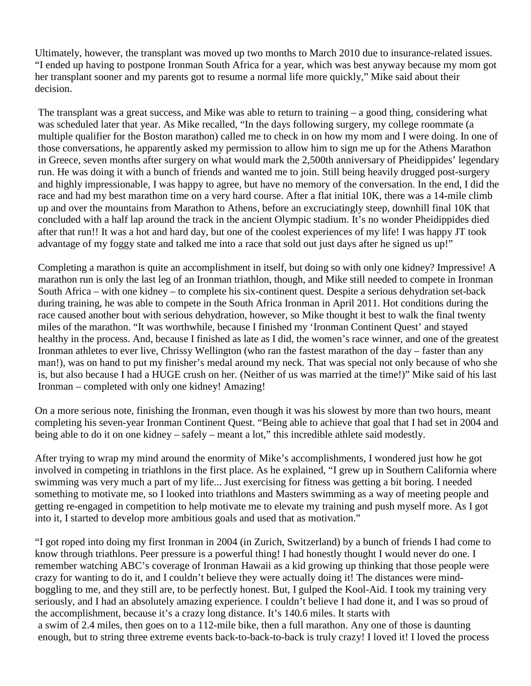Ultimately, however, the transplant was moved up two months to March 2010 due to insurance-related issues. "I ended up having to postpone Ironman South Africa for a year, which was best anyway because my mom got her transplant sooner and my parents got to resume a normal life more quickly," Mike said about their decision.

The transplant was a great success, and Mike was able to return to training – a good thing, considering what was scheduled later that year. As Mike recalled, "In the days following surgery, my college roommate (a multiple qualifier for the Boston marathon) called me to check in on how my mom and I were doing. In one of those conversations, he apparently asked my permission to allow him to sign me up for the Athens Marathon in Greece, seven months after surgery on what would mark the 2,500th anniversary of Pheidippides' legendary run. He was doing it with a bunch of friends and wanted me to join. Still being heavily drugged post-surgery and highly impressionable, I was happy to agree, but have no memory of the conversation. In the end, I did the race and had my best marathon time on a very hard course. After a flat initial 10K, there was a 14-mile climb up and over the mountains from Marathon to Athens, before an excruciatingly steep, downhill final 10K that concluded with a half lap around the track in the ancient Olympic stadium. It's no wonder Pheidippides died after that run!! It was a hot and hard day, but one of the coolest experiences of my life! I was happy JT took advantage of my foggy state and talked me into a race that sold out just days after he signed us up!"

Completing a marathon is quite an accomplishment in itself, but doing so with only one kidney? Impressive! A marathon run is only the last leg of an Ironman triathlon, though, and Mike still needed to compete in Ironman South Africa – with one kidney – to complete his six-continent quest. Despite a serious dehydration set-back during training, he was able to compete in the South Africa Ironman in April 2011. Hot conditions during the race caused another bout with serious dehydration, however, so Mike thought it best to walk the final twenty miles of the marathon. "It was worthwhile, because I finished my 'Ironman Continent Quest' and stayed healthy in the process. And, because I finished as late as I did, the women's race winner, and one of the greatest Ironman athletes to ever live, Chrissy Wellington (who ran the fastest marathon of the day – faster than any man!), was on hand to put my finisher's medal around my neck. That was special not only because of who she is, but also because I had a HUGE crush on her. (Neither of us was married at the time!)" Mike said of his last Ironman – completed with only one kidney! Amazing!

On a more serious note, finishing the Ironman, even though it was his slowest by more than two hours, meant completing his seven-year Ironman Continent Quest. "Being able to achieve that goal that I had set in 2004 and being able to do it on one kidney – safely – meant a lot," this incredible athlete said modestly.

After trying to wrap my mind around the enormity of Mike's accomplishments, I wondered just how he got involved in competing in triathlons in the first place. As he explained, "I grew up in Southern California where swimming was very much a part of my life... Just exercising for fitness was getting a bit boring. I needed something to motivate me, so I looked into triathlons and Masters swimming as a way of meeting people and getting re-engaged in competition to help motivate me to elevate my training and push myself more. As I got into it, I started to develop more ambitious goals and used that as motivation."

"I got roped into doing my first Ironman in 2004 (in Zurich, Switzerland) by a bunch of friends I had come to know through triathlons. Peer pressure is a powerful thing! I had honestly thought I would never do one. I remember watching ABC's coverage of Ironman Hawaii as a kid growing up thinking that those people were crazy for wanting to do it, and I couldn't believe they were actually doing it! The distances were mindboggling to me, and they still are, to be perfectly honest. But, I gulped the Kool-Aid. I took my training very seriously, and I had an absolutely amazing experience. I couldn't believe I had done it, and I was so proud of the accomplishment, because it's a crazy long distance. It's 140.6 miles. It starts with a swim of 2.4 miles, then goes on to a 112-mile bike, then a full marathon. Any one of those is daunting enough, but to string three extreme events back-to-back-to-back is truly crazy! I loved it! I loved the process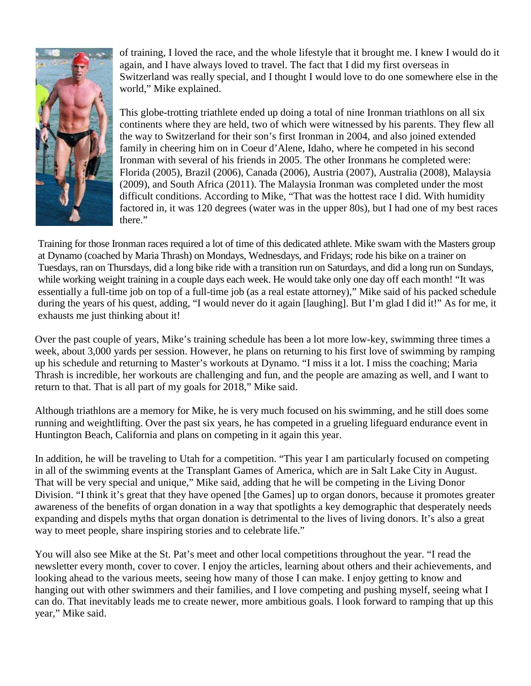

of training, I loved the race, and the whole lifestyle that it brought me. I knew I would do it again, and I have always loved to travel. The fact that I did my first overseas in Switzerland was really special, and I thought I would love to do one somewhere else in the world," Mike explained.

This globe-trotting triathlete ended up doing a total of nine Ironman triathlons on all six continents where they are held, two of which were witnessed by his parents. They flew all the way to Switzerland for their son's first Ironman in 2004, and also joined extended family in cheering him on in Coeur d'Alene, Idaho, where he competed in his second Ironman with several of his friends in 2005. The other Ironmans he completed were: Florida (2005), Brazil (2006), Canada (2006), Austria (2007), Australia (2008), Malaysia (2009), and South Africa (2011). The Malaysia Ironman was completed under the most difficult conditions. According to Mike, "That was the hottest race I did. With humidity factored in, it was 120 degrees (water was in the upper 80s), but I had one of my best races there."

Training for those Ironman races required a lot of time of this dedicated athlete. Mike swam with the Masters group at Dynamo (coached by Maria Thrash) on Mondays, Wednesdays, and Fridays; rode his bike on a trainer on Tuesdays, ran on Thursdays, did a long bike ride with a transition run on Saturdays, and did a long run on Sundays, while working weight training in a couple days each week. He would take only one day off each month! "It was essentially a full-time job on top of a full-time job (as a real estate attorney)," Mike said of his packed schedule during the years of his quest, adding, "I would never do it again [laughing]. But I'm glad I did it!" As for me, it exhausts me just thinking about it!

Over the past couple of years, Mike's training schedule has been a lot more low-key, swimming three times a week, about 3,000 yards per session. However, he plans on returning to his first love of swimming by ramping up his schedule and returning to Master's workouts at Dynamo. "I miss it a lot. I miss the coaching; Maria Thrash is incredible, her workouts are challenging and fun, and the people are amazing as well, and I want to return to that. That is all part of my goals for 2018," Mike said.

Although triathlons are a memory for Mike, he is very much focused on his swimming, and he still does some running and weightlifting. Over the past six years, he has competed in a grueling lifeguard endurance event in Huntington Beach, California and plans on competing in it again this year.

In addition, he will be traveling to Utah for a competition. "This year I am particularly focused on competing in all of the swimming events at the Transplant Games of America, which are in Salt Lake City in August. That will be very special and unique," Mike said, adding that he will be competing in the Living Donor Division. "I think it's great that they have opened [the Games] up to organ donors, because it promotes greater awareness of the benefits of organ donation in a way that spotlights a key demographic that desperately needs expanding and dispels myths that organ donation is detrimental to the lives of living donors. It's also a great way to meet people, share inspiring stories and to celebrate life."

You will also see Mike at the St. Pat's meet and other local competitions throughout the year. "I read the newsletter every month, cover to cover. I enjoy the articles, learning about others and their achievements, and looking ahead to the various meets, seeing how many of those I can make. I enjoy getting to know and hanging out with other swimmers and their families, and I love competing and pushing myself, seeing what I can do. That inevitably leads me to create newer, more ambitious goals. I look forward to ramping that up this year," Mike said.